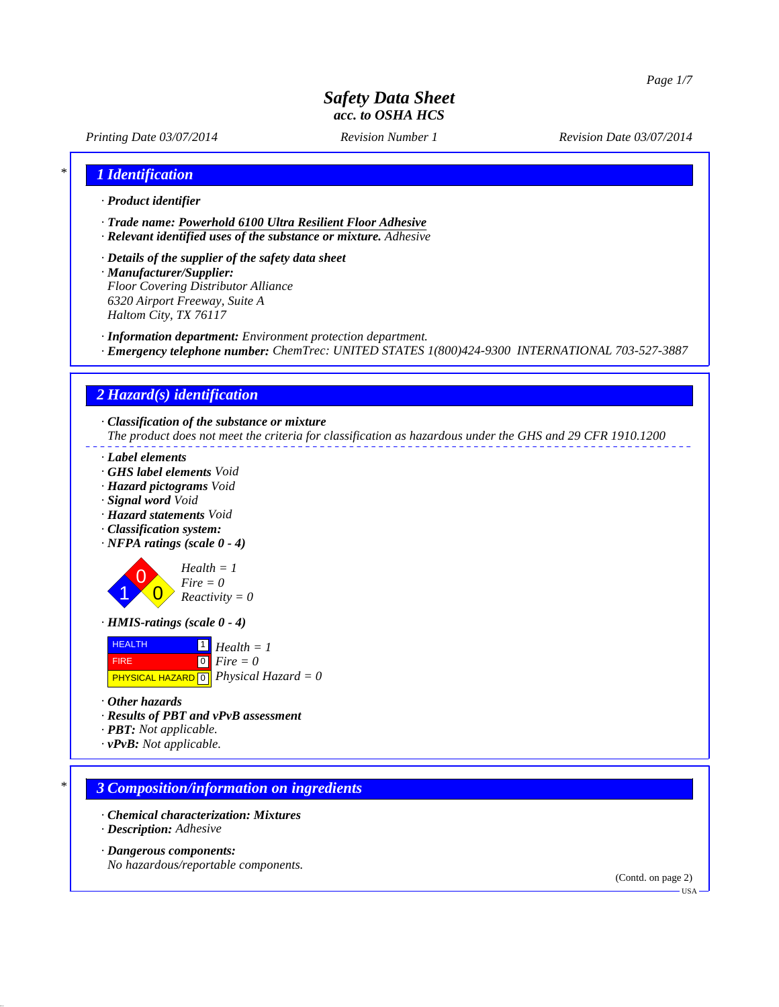*Printing Date 03/07/2014 Revision Number 1 Revision Date 03/07/2014*

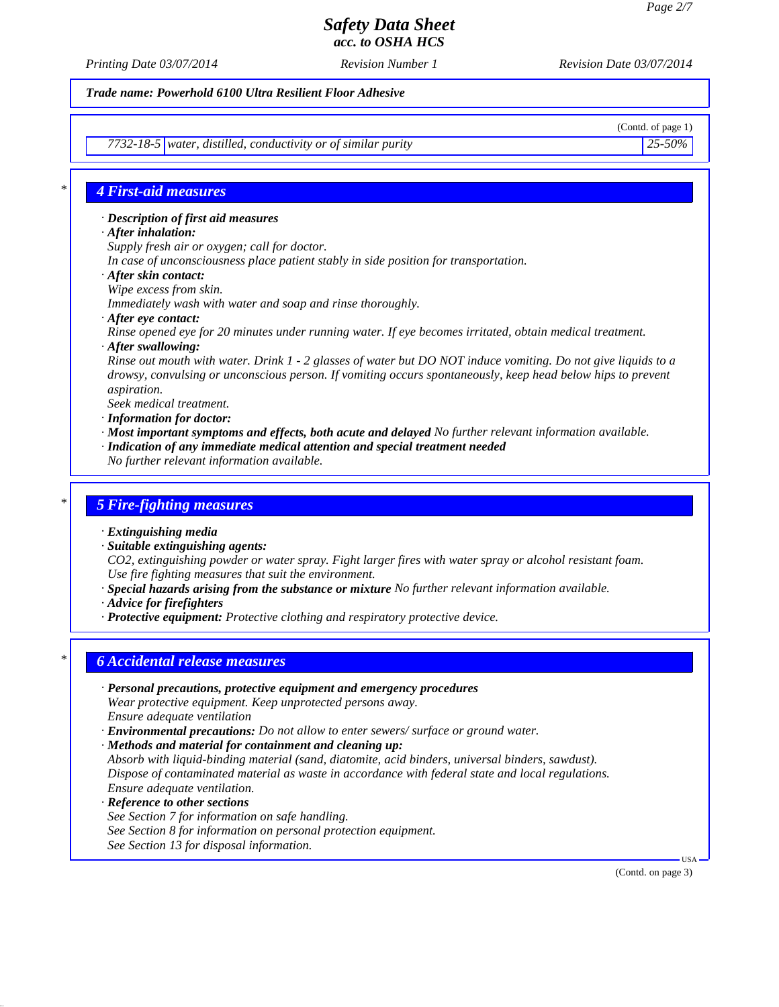*Printing Date 03/07/2014 Revision Number 1 Revision Date 03/07/2014*

*Trade name: Powerhold 6100 Ultra Resilient Floor Adhesive*

(Contd. of page 1)

*7732-18-5 water, distilled, conductivity or of similar purity 25-50%*

## *\* 4 First-aid measures*

*· Description of first aid measures*

- *· After inhalation:*
- *Supply fresh air or oxygen; call for doctor.*
- *In case of unconsciousness place patient stably in side position for transportation.*
- *· After skin contact:*
- *Wipe excess from skin.*

*Immediately wash with water and soap and rinse thoroughly.*

*· After eye contact:*

*Rinse opened eye for 20 minutes under running water. If eye becomes irritated, obtain medical treatment. · After swallowing:*

*Rinse out mouth with water. Drink 1 - 2 glasses of water but DO NOT induce vomiting. Do not give liquids to a drowsy, convulsing or unconscious person. If vomiting occurs spontaneously, keep head below hips to prevent aspiration.*

*Seek medical treatment.*

- *· Information for doctor:*
- *· Most important symptoms and effects, both acute and delayed No further relevant information available.*
- *· Indication of any immediate medical attention and special treatment needed*
- *No further relevant information available.*

### *\* 5 Fire-fighting measures*

- *· Extinguishing media*
- *· Suitable extinguishing agents:*
- *CO2, extinguishing powder or water spray. Fight larger fires with water spray or alcohol resistant foam. Use fire fighting measures that suit the environment.*
- *· Special hazards arising from the substance or mixture No further relevant information available.*
- *· Advice for firefighters*
- *· Protective equipment: Protective clothing and respiratory protective device.*

## *\* 6 Accidental release measures*

- *· Personal precautions, protective equipment and emergency procedures Wear protective equipment. Keep unprotected persons away. Ensure adequate ventilation*
- *· Environmental precautions: Do not allow to enter sewers/ surface or ground water.*
- *· Methods and material for containment and cleaning up:*

*Absorb with liquid-binding material (sand, diatomite, acid binders, universal binders, sawdust). Dispose of contaminated material as waste in accordance with federal state and local regulations. Ensure adequate ventilation.*

- *· Reference to other sections See Section 7 for information on safe handling. See Section 8 for information on personal protection equipment.*
- 

*See Section 13 for disposal information.*

(Contd. on page 3)

USA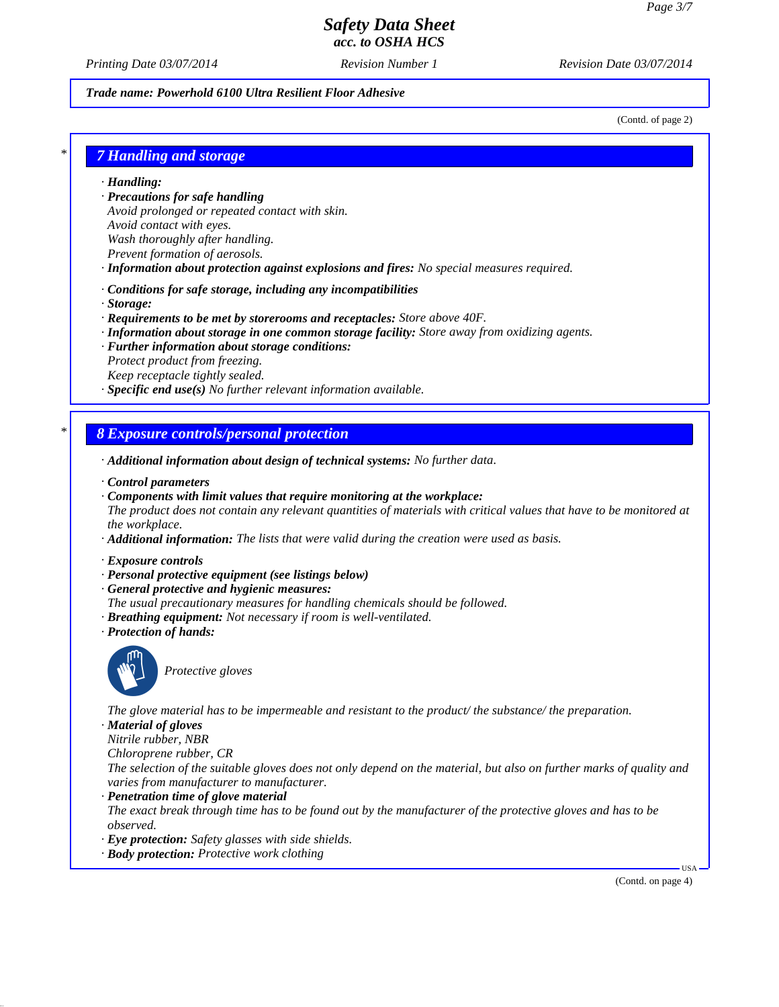*Printing Date 03/07/2014 Revision Number 1 Revision Date 03/07/2014*

#### *Trade name: Powerhold 6100 Ultra Resilient Floor Adhesive*

(Contd. of page 2)

## *\* 7 Handling and storage*

*· Handling:*

- *· Precautions for safe handling Avoid prolonged or repeated contact with skin. Avoid contact with eyes. Wash thoroughly after handling.*
- *Prevent formation of aerosols.*
- *· Information about protection against explosions and fires: No special measures required.*
- *· Conditions for safe storage, including any incompatibilities*
- *· Storage:*
- *· Requirements to be met by storerooms and receptacles: Store above 40F.*
- *· Information about storage in one common storage facility: Store away from oxidizing agents.*
- *· Further information about storage conditions:*
- *Protect product from freezing. Keep receptacle tightly sealed.*
- *· Specific end use(s) No further relevant information available.*

## *\* 8 Exposure controls/personal protection*

- *· Additional information about design of technical systems: No further data.*
- *· Control parameters*
- *· Components with limit values that require monitoring at the workplace: The product does not contain any relevant quantities of materials with critical values that have to be monitored at the workplace.*
- *· Additional information: The lists that were valid during the creation were used as basis.*
- *· Exposure controls*
- *· Personal protective equipment (see listings below)*
- *· General protective and hygienic measures:*
- *The usual precautionary measures for handling chemicals should be followed.*
- *· Breathing equipment: Not necessary if room is well-ventilated.*
- *· Protection of hands:*



**Protective gloves** 

*The glove material has to be impermeable and resistant to the product/ the substance/ the preparation.*

*· Material of gloves*

*Nitrile rubber, NBR*

*Chloroprene rubber, CR*

*The selection of the suitable gloves does not only depend on the material, but also on further marks of quality and varies from manufacturer to manufacturer.*

#### *· Penetration time of glove material*

*The exact break through time has to be found out by the manufacturer of the protective gloves and has to be observed.*

- *· Eye protection: Safety glasses with side shields.*
- *· Body protection: Protective work clothing*

(Contd. on page 4)

USA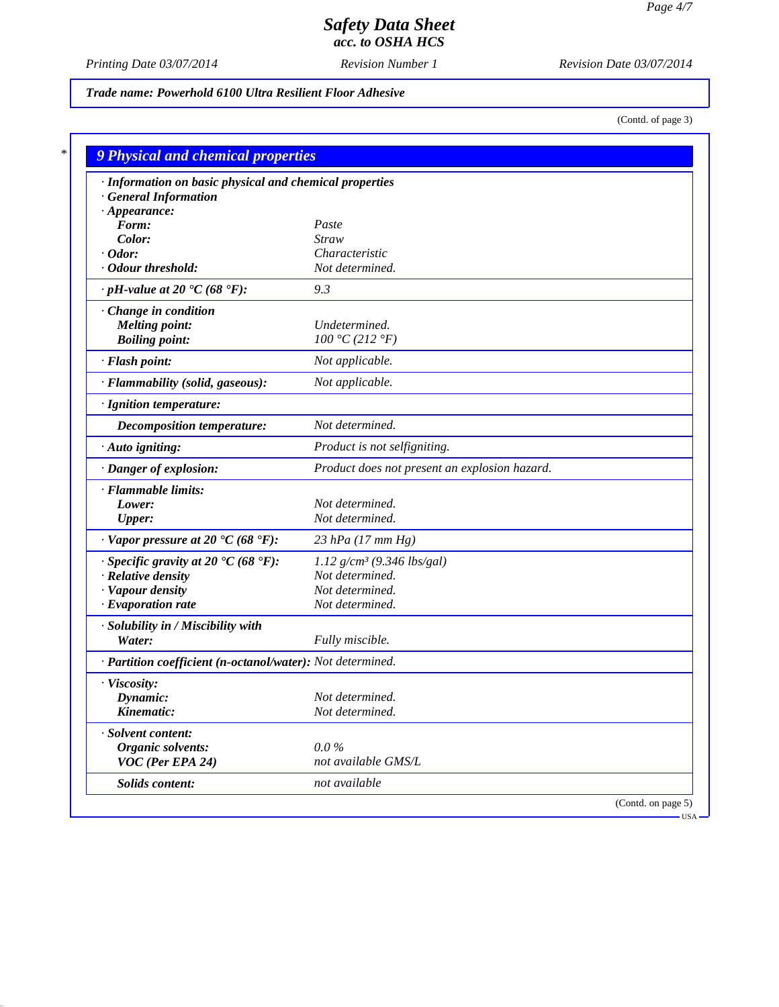*Printing Date 03/07/2014 Revision Number 1 Revision Date 03/07/2014*

*Trade name: Powerhold 6100 Ultra Resilient Floor Adhesive*

(Contd. of page 3)

| · Information on basic physical and chemical properties    |                                               |  |
|------------------------------------------------------------|-----------------------------------------------|--|
| <b>General Information</b>                                 |                                               |  |
| $\cdot$ Appearance:                                        |                                               |  |
| Form:                                                      | Paste                                         |  |
| Color:                                                     | <b>Straw</b>                                  |  |
| $\cdot$ Odor:                                              | Characteristic                                |  |
| · Odour threshold:                                         | Not determined.                               |  |
| $\cdot$ pH-value at 20 $\cdot$ C (68 $\cdot$ F):           | 9.3                                           |  |
| Change in condition                                        |                                               |  |
| <b>Melting point:</b>                                      | Undetermined.                                 |  |
| <b>Boiling point:</b>                                      | 100 °C (212 °F)                               |  |
| · Flash point:                                             | Not applicable.                               |  |
| · Flammability (solid, gaseous):                           | Not applicable.                               |  |
| · Ignition temperature:                                    |                                               |  |
| <b>Decomposition temperature:</b>                          | Not determined.                               |  |
| · Auto igniting:                                           | Product is not selfigniting.                  |  |
| · Danger of explosion:                                     | Product does not present an explosion hazard. |  |
| · Flammable limits:                                        |                                               |  |
| Lower:                                                     | Not determined.                               |  |
| <b>Upper:</b>                                              | Not determined.                               |  |
| $\cdot$ Vapor pressure at 20 $\cdot$ C (68 $\cdot$ F):     | 23 hPa (17 mm Hg)                             |  |
| $\cdot$ Specific gravity at 20 °C (68 °F):                 | 1.12 $g/cm^3$ (9.346 lbs/gal)                 |  |
| · Relative density                                         | Not determined.                               |  |
| · Vapour density                                           | Not determined.                               |  |
| $\cdot$ Evaporation rate                                   | Not determined.                               |  |
| · Solubility in / Miscibility with                         |                                               |  |
| Water:                                                     | Fully miscible.                               |  |
| · Partition coefficient (n-octanol/water): Not determined. |                                               |  |
| · Viscosity:                                               |                                               |  |
| Dynamic:                                                   | Not determined.                               |  |
| Kinematic:                                                 | Not determined.                               |  |
| · Solvent content:                                         |                                               |  |
| Organic solvents:                                          | $0.0\%$                                       |  |
| VOC (Per EPA 24)                                           | not available GMS/L                           |  |
| Solids content:                                            | not available                                 |  |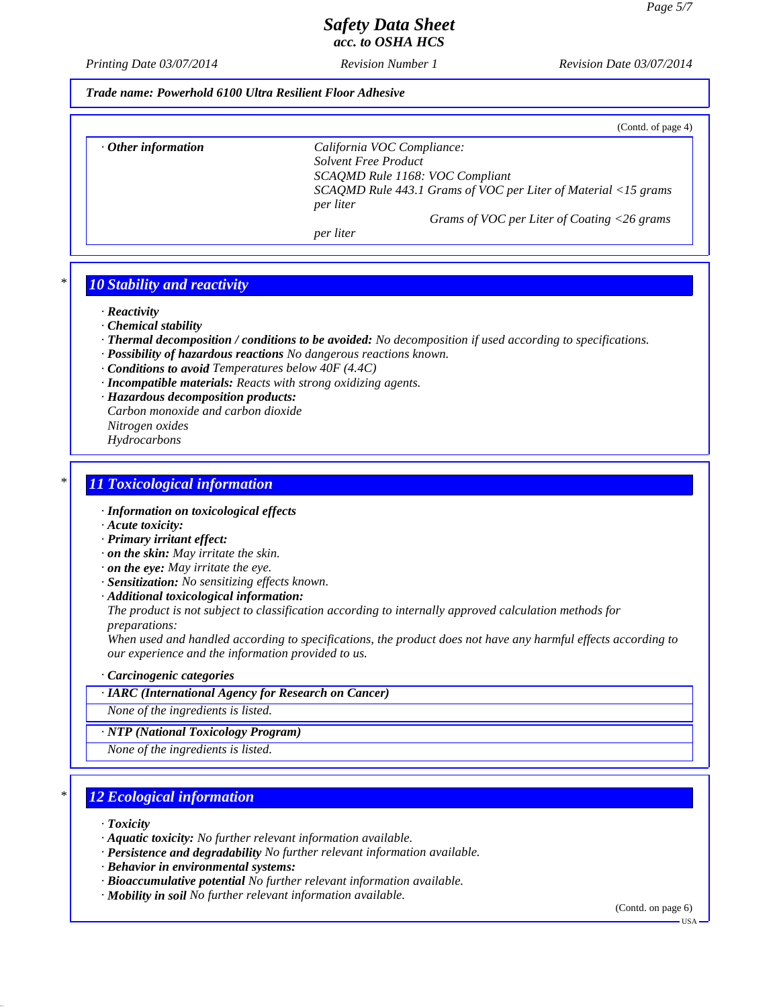*Printing Date 03/07/2014 Revision Number 1 Revision Date 03/07/2014*

*Trade name: Powerhold 6100 Ultra Resilient Floor Adhesive*

|                           | (Contd. of page 4)                                                          |
|---------------------------|-----------------------------------------------------------------------------|
| $\cdot$ Other information | California VOC Compliance:                                                  |
|                           | <b>Solvent Free Product</b>                                                 |
|                           | SCAQMD Rule 1168: VOC Compliant                                             |
|                           | SCAQMD Rule 443.1 Grams of VOC per Liter of Material <15 grams<br>per liter |
|                           | Grams of VOC per Liter of Coating <26 grams                                 |
|                           | per liter                                                                   |

## *\* 10 Stability and reactivity*

*· Reactivity*

- *· Chemical stability*
- *· Thermal decomposition / conditions to be avoided: No decomposition if used according to specifications.*
- *· Possibility of hazardous reactions No dangerous reactions known.*
- *· Conditions to avoid Temperatures below 40F (4.4C)*
- *· Incompatible materials: Reacts with strong oxidizing agents.*
- *· Hazardous decomposition products: Carbon monoxide and carbon dioxide*
- *Nitrogen oxides*
- *Hydrocarbons*

### *\* 11 Toxicological information*

- *· Information on toxicological effects*
- *· Acute toxicity:*
- *· Primary irritant effect:*
- *· on the skin: May irritate the skin.*
- *· on the eye: May irritate the eye.*
- *· Sensitization: No sensitizing effects known.*
- *· Additional toxicological information:*

*The product is not subject to classification according to internally approved calculation methods for preparations:*

*When used and handled according to specifications, the product does not have any harmful effects according to our experience and the information provided to us.*

#### *· Carcinogenic categories*

*· IARC (International Agency for Research on Cancer)*

*None of the ingredients is listed.*

*· NTP (National Toxicology Program)*

*None of the ingredients is listed.*

## *\* 12 Ecological information*

*· Toxicity*

- *· Aquatic toxicity: No further relevant information available.*
- *· Persistence and degradability No further relevant information available.*
- *· Behavior in environmental systems:*
- *· Bioaccumulative potential No further relevant information available.*
- *· Mobility in soil No further relevant information available.*

(Contd. on page 6)

USA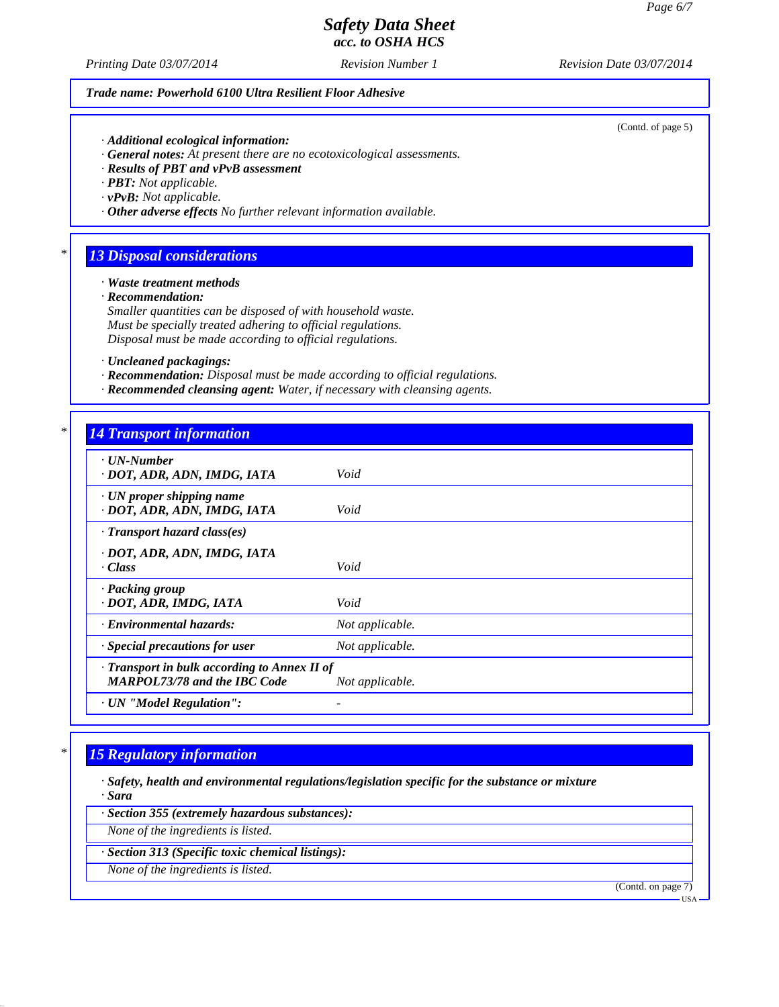(Contd. of page 5)

## *Safety Data Sheet acc. to OSHA HCS*

*Printing Date 03/07/2014 Revision Number 1 Revision Date 03/07/2014*

#### *Trade name: Powerhold 6100 Ultra Resilient Floor Adhesive*

*· Additional ecological information:*

- *· General notes: At present there are no ecotoxicological assessments.*
- *· Results of PBT and vPvB assessment*

*· PBT: Not applicable.*

- *· vPvB: Not applicable.*
- *· Other adverse effects No further relevant information available.*

### *\* 13 Disposal considerations*

*· Waste treatment methods*

*· Recommendation:*

*Smaller quantities can be disposed of with household waste. Must be specially treated adhering to official regulations. Disposal must be made according to official regulations.*

- *· Uncleaned packagings:*
- *· Recommendation: Disposal must be made according to official regulations.*
- *· Recommended cleansing agent: Water, if necessary with cleansing agents.*

### *\* 14 Transport information*

| $\cdot$ UN-Number<br>· DOT, ADR, ADN, IMDG, IATA                                    | Void            |
|-------------------------------------------------------------------------------------|-----------------|
| $\cdot$ UN proper shipping name<br>· DOT, ADR, ADN, IMDG, IATA                      | Void            |
| $\cdot$ Transport hazard class(es)                                                  |                 |
| · DOT, ADR, ADN, IMDG, IATA<br>$\cdot$ Class                                        | Void            |
| · Packing group<br>· DOT, ADR, IMDG, IATA                                           | Void            |
| <b>Environmental hazards:</b>                                                       | Not applicable. |
| · Special precautions for user                                                      | Not applicable. |
| · Transport in bulk according to Annex II of<br><b>MARPOL73/78 and the IBC Code</b> | Not applicable. |
| · UN "Model Regulation":                                                            |                 |

## *\* 15 Regulatory information*

*· Safety, health and environmental regulations/legislation specific for the substance or mixture · Sara*

*· Section 355 (extremely hazardous substances):*

*None of the ingredients is listed.*

*· Section 313 (Specific toxic chemical listings):*

*None of the ingredients is listed.*

(Contd. on page 7)

USA